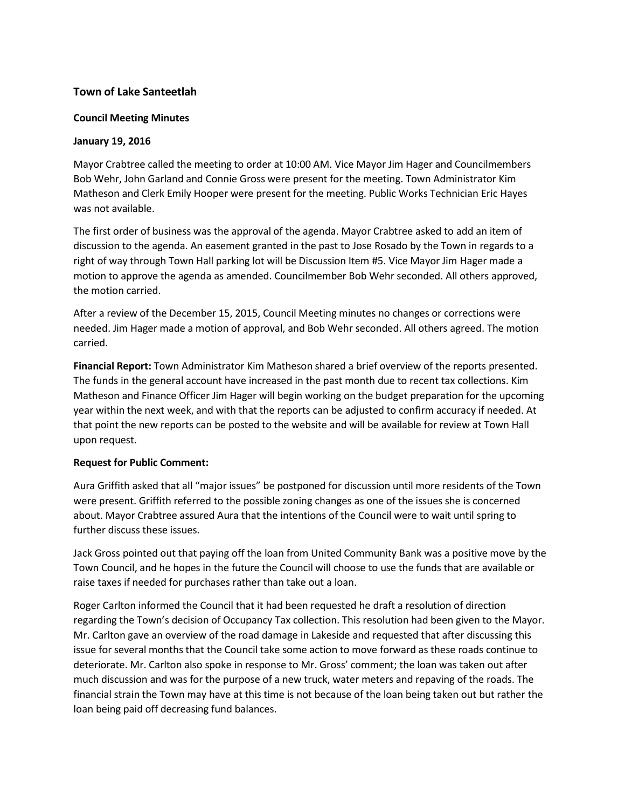# **Town of Lake Santeetlah**

#### **Council Meeting Minutes**

#### **January 19, 2016**

Mayor Crabtree called the meeting to order at 10:00 AM. Vice Mayor Jim Hager and Councilmembers Bob Wehr, John Garland and Connie Gross were present for the meeting. Town Administrator Kim Matheson and Clerk Emily Hooper were present for the meeting. Public Works Technician Eric Hayes was not available.

The first order of business was the approval of the agenda. Mayor Crabtree asked to add an item of discussion to the agenda. An easement granted in the past to Jose Rosado by the Town in regards to a right of way through Town Hall parking lot will be Discussion Item #5. Vice Mayor Jim Hager made a motion to approve the agenda as amended. Councilmember Bob Wehr seconded. All others approved, the motion carried.

After a review of the December 15, 2015, Council Meeting minutes no changes or corrections were needed. Jim Hager made a motion of approval, and Bob Wehr seconded. All others agreed. The motion carried.

**Financial Report:** Town Administrator Kim Matheson shared a brief overview of the reports presented. The funds in the general account have increased in the past month due to recent tax collections. Kim Matheson and Finance Officer Jim Hager will begin working on the budget preparation for the upcoming year within the next week, and with that the reports can be adjusted to confirm accuracy if needed. At that point the new reports can be posted to the website and will be available for review at Town Hall upon request.

## **Request for Public Comment:**

Aura Griffith asked that all "major issues" be postponed for discussion until more residents of the Town were present. Griffith referred to the possible zoning changes as one of the issues she is concerned about. Mayor Crabtree assured Aura that the intentions of the Council were to wait until spring to further discuss these issues.

Jack Gross pointed out that paying off the loan from United Community Bank was a positive move by the Town Council, and he hopes in the future the Council will choose to use the funds that are available or raise taxes if needed for purchases rather than take out a loan.

Roger Carlton informed the Council that it had been requested he draft a resolution of direction regarding the Town's decision of Occupancy Tax collection. This resolution had been given to the Mayor. Mr. Carlton gave an overview of the road damage in Lakeside and requested that after discussing this issue for several months that the Council take some action to move forward as these roads continue to deteriorate. Mr. Carlton also spoke in response to Mr. Gross' comment; the loan was taken out after much discussion and was for the purpose of a new truck, water meters and repaving of the roads. The financial strain the Town may have at this time is not because of the loan being taken out but rather the loan being paid off decreasing fund balances.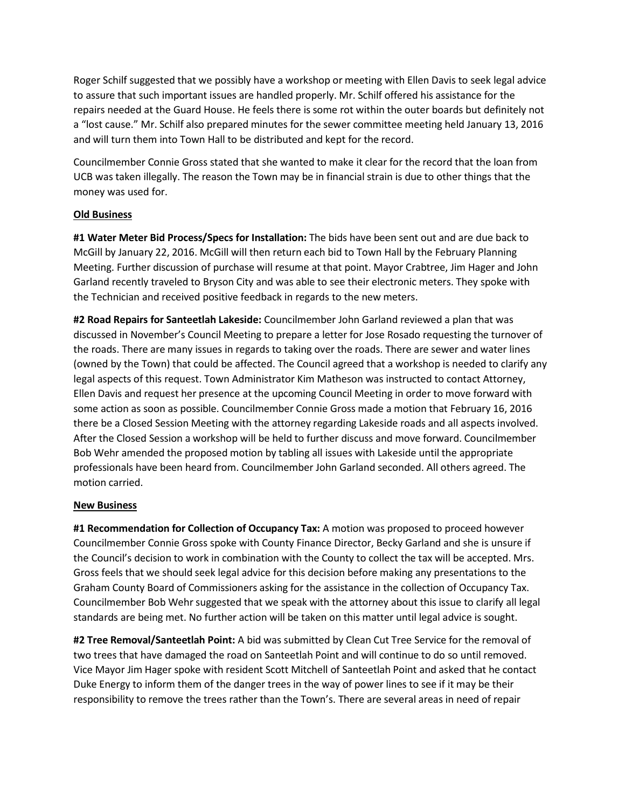Roger Schilf suggested that we possibly have a workshop or meeting with Ellen Davis to seek legal advice to assure that such important issues are handled properly. Mr. Schilf offered his assistance for the repairs needed at the Guard House. He feels there is some rot within the outer boards but definitely not a "lost cause." Mr. Schilf also prepared minutes for the sewer committee meeting held January 13, 2016 and will turn them into Town Hall to be distributed and kept for the record.

Councilmember Connie Gross stated that she wanted to make it clear for the record that the loan from UCB was taken illegally. The reason the Town may be in financial strain is due to other things that the money was used for.

## **Old Business**

**#1 Water Meter Bid Process/Specs for Installation:** The bids have been sent out and are due back to McGill by January 22, 2016. McGill will then return each bid to Town Hall by the February Planning Meeting. Further discussion of purchase will resume at that point. Mayor Crabtree, Jim Hager and John Garland recently traveled to Bryson City and was able to see their electronic meters. They spoke with the Technician and received positive feedback in regards to the new meters.

**#2 Road Repairs for Santeetlah Lakeside:** Councilmember John Garland reviewed a plan that was discussed in November's Council Meeting to prepare a letter for Jose Rosado requesting the turnover of the roads. There are many issues in regards to taking over the roads. There are sewer and water lines (owned by the Town) that could be affected. The Council agreed that a workshop is needed to clarify any legal aspects of this request. Town Administrator Kim Matheson was instructed to contact Attorney, Ellen Davis and request her presence at the upcoming Council Meeting in order to move forward with some action as soon as possible. Councilmember Connie Gross made a motion that February 16, 2016 there be a Closed Session Meeting with the attorney regarding Lakeside roads and all aspects involved. After the Closed Session a workshop will be held to further discuss and move forward. Councilmember Bob Wehr amended the proposed motion by tabling all issues with Lakeside until the appropriate professionals have been heard from. Councilmember John Garland seconded. All others agreed. The motion carried.

## **New Business**

**#1 Recommendation for Collection of Occupancy Tax:** A motion was proposed to proceed however Councilmember Connie Gross spoke with County Finance Director, Becky Garland and she is unsure if the Council's decision to work in combination with the County to collect the tax will be accepted. Mrs. Gross feels that we should seek legal advice for this decision before making any presentations to the Graham County Board of Commissioners asking for the assistance in the collection of Occupancy Tax. Councilmember Bob Wehr suggested that we speak with the attorney about this issue to clarify all legal standards are being met. No further action will be taken on this matter until legal advice is sought.

**#2 Tree Removal/Santeetlah Point:** A bid was submitted by Clean Cut Tree Service for the removal of two trees that have damaged the road on Santeetlah Point and will continue to do so until removed. Vice Mayor Jim Hager spoke with resident Scott Mitchell of Santeetlah Point and asked that he contact Duke Energy to inform them of the danger trees in the way of power lines to see if it may be their responsibility to remove the trees rather than the Town's. There are several areas in need of repair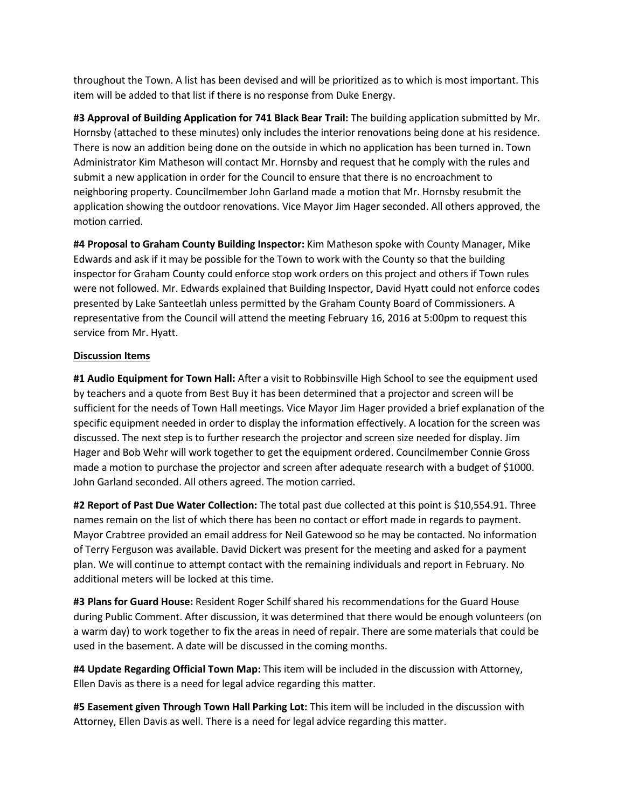throughout the Town. A list has been devised and will be prioritized as to which is most important. This item will be added to that list if there is no response from Duke Energy.

**#3 Approval of Building Application for 741 Black Bear Trail:** The building application submitted by Mr. Hornsby (attached to these minutes) only includes the interior renovations being done at his residence. There is now an addition being done on the outside in which no application has been turned in. Town Administrator Kim Matheson will contact Mr. Hornsby and request that he comply with the rules and submit a new application in order for the Council to ensure that there is no encroachment to neighboring property. Councilmember John Garland made a motion that Mr. Hornsby resubmit the application showing the outdoor renovations. Vice Mayor Jim Hager seconded. All others approved, the motion carried.

**#4 Proposal to Graham County Building Inspector:** Kim Matheson spoke with County Manager, Mike Edwards and ask if it may be possible for the Town to work with the County so that the building inspector for Graham County could enforce stop work orders on this project and others if Town rules were not followed. Mr. Edwards explained that Building Inspector, David Hyatt could not enforce codes presented by Lake Santeetlah unless permitted by the Graham County Board of Commissioners. A representative from the Council will attend the meeting February 16, 2016 at 5:00pm to request this service from Mr. Hyatt.

## **Discussion Items**

**#1 Audio Equipment for Town Hall:** After a visit to Robbinsville High School to see the equipment used by teachers and a quote from Best Buy it has been determined that a projector and screen will be sufficient for the needs of Town Hall meetings. Vice Mayor Jim Hager provided a brief explanation of the specific equipment needed in order to display the information effectively. A location for the screen was discussed. The next step is to further research the projector and screen size needed for display. Jim Hager and Bob Wehr will work together to get the equipment ordered. Councilmember Connie Gross made a motion to purchase the projector and screen after adequate research with a budget of \$1000. John Garland seconded. All others agreed. The motion carried.

**#2 Report of Past Due Water Collection:** The total past due collected at this point is \$10,554.91. Three names remain on the list of which there has been no contact or effort made in regards to payment. Mayor Crabtree provided an email address for Neil Gatewood so he may be contacted. No information of Terry Ferguson was available. David Dickert was present for the meeting and asked for a payment plan. We will continue to attempt contact with the remaining individuals and report in February. No additional meters will be locked at this time.

**#3 Plans for Guard House:** Resident Roger Schilf shared his recommendations for the Guard House during Public Comment. After discussion, it was determined that there would be enough volunteers (on a warm day) to work together to fix the areas in need of repair. There are some materials that could be used in the basement. A date will be discussed in the coming months.

**#4 Update Regarding Official Town Map:** This item will be included in the discussion with Attorney, Ellen Davis as there is a need for legal advice regarding this matter.

**#5 Easement given Through Town Hall Parking Lot:** This item will be included in the discussion with Attorney, Ellen Davis as well. There is a need for legal advice regarding this matter.